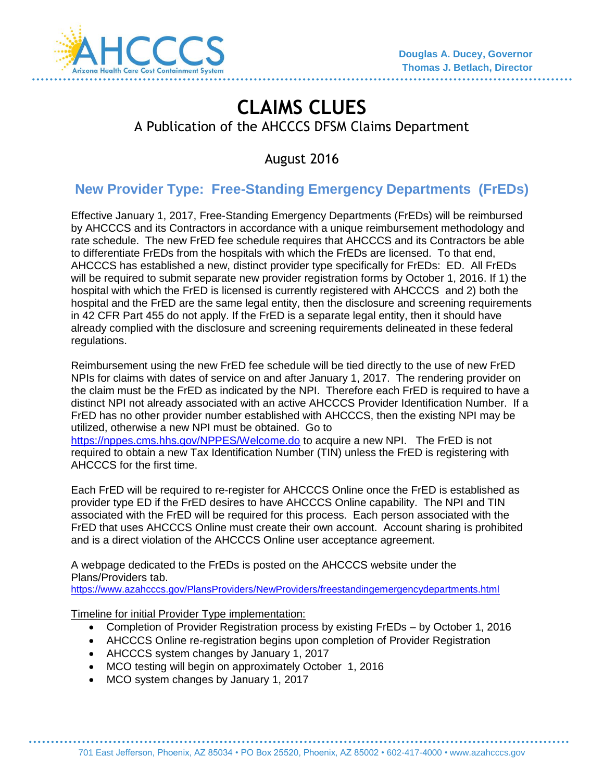

# **CLAIMS CLUES**  A Publication of the AHCCCS DFSM Claims Department

August 2016

# **New Provider Type: Free-Standing Emergency Departments (FrEDs)**

Effective January 1, 2017, Free-Standing Emergency Departments (FrEDs) will be reimbursed by AHCCCS and its Contractors in accordance with a unique reimbursement methodology and rate schedule. The new FrED fee schedule requires that AHCCCS and its Contractors be able to differentiate FrEDs from the hospitals with which the FrEDs are licensed. To that end, AHCCCS has established a new, distinct provider type specifically for FrEDs: ED. All FrEDs will be required to submit separate new provider registration forms by October 1, 2016. If 1) the hospital with which the FrED is licensed is currently registered with AHCCCS and 2) both the hospital and the FrED are the same legal entity, then the disclosure and screening requirements in 42 CFR Part 455 do not apply. If the FrED is a separate legal entity, then it should have already complied with the disclosure and screening requirements delineated in these federal regulations.

Reimbursement using the new FrED fee schedule will be tied directly to the use of new FrED NPIs for claims with dates of service on and after January 1, 2017. The rendering provider on the claim must be the FrED as indicated by the NPI. Therefore each FrED is required to have a distinct NPI not already associated with an active AHCCCS Provider Identification Number. If a FrED has no other provider number established with AHCCCS, then the existing NPI may be utilized, otherwise a new NPI must be obtained. Go to <https://nppes.cms.hhs.gov/NPPES/Welcome.do> to acquire a new NPI. The FrED is not required to obtain a new Tax Identification Number (TIN) unless the FrED is registering with AHCCCS for the first time.

Each FrED will be required to re-register for AHCCCS Online once the FrED is established as provider type ED if the FrED desires to have AHCCCS Online capability. The NPI and TIN associated with the FrED will be required for this process. Each person associated with the FrED that uses AHCCCS Online must create their own account. Account sharing is prohibited and is a direct violation of the AHCCCS Online user acceptance agreement.

A webpage dedicated to the FrEDs is posted on the AHCCCS website under the Plans/Providers tab.

<https://www.azahcccs.gov/PlansProviders/NewProviders/freestandingemergencydepartments.html>

Timeline for initial Provider Type implementation:

- Completion of Provider Registration process by existing FrEDs by October 1, 2016
- AHCCCS Online re-registration begins upon completion of Provider Registration
- AHCCCS system changes by January 1, 2017
- MCO testing will begin on approximately October 1, 2016
- MCO system changes by January 1, 2017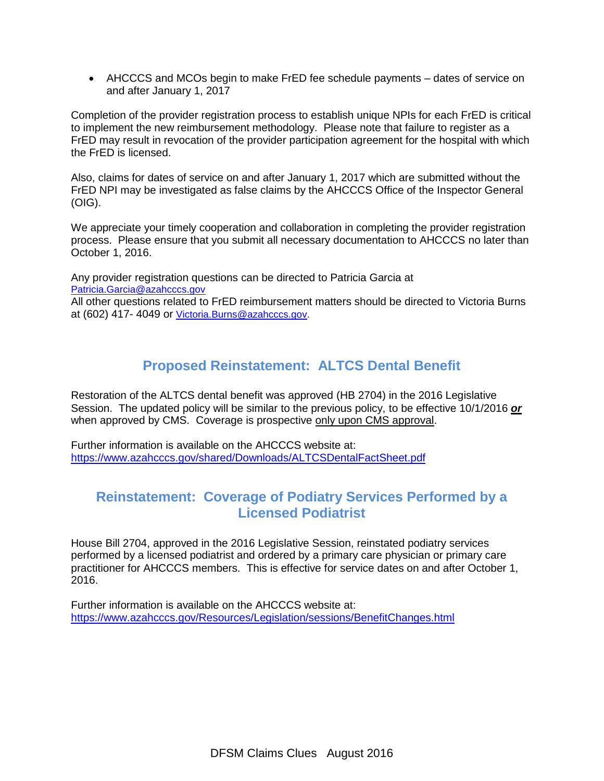AHCCCS and MCOs begin to make FrED fee schedule payments – dates of service on and after January 1, 2017

Completion of the provider registration process to establish unique NPIs for each FrED is critical to implement the new reimbursement methodology. Please note that failure to register as a FrED may result in revocation of the provider participation agreement for the hospital with which the FrED is licensed.

Also, claims for dates of service on and after January 1, 2017 which are submitted without the FrED NPI may be investigated as false claims by the AHCCCS Office of the Inspector General (OIG).

We appreciate your timely cooperation and collaboration in completing the provider registration process. Please ensure that you submit all necessary documentation to AHCCCS no later than October 1, 2016.

Any provider registration questions can be directed to Patricia Garcia at [Patricia.Garcia@azahcccs.gov](mailto:Patricia.Garcia@azahcccs.gov)

All other questions related to FrED reimbursement matters should be directed to Victoria Burns at (602) 417- 4049 or [Victoria.Burns@azahcccs.gov.](mailto:Victoria.Burns@azahcccs.gov)

## **Proposed Reinstatement: ALTCS Dental Benefit**

Restoration of the ALTCS dental benefit was approved (HB 2704) in the 2016 Legislative Session. The updated policy will be similar to the previous policy, to be effective 10/1/2016 *or* when approved by CMS. Coverage is prospective only upon CMS approval.

Further information is available on the AHCCCS website at: <https://www.azahcccs.gov/shared/Downloads/ALTCSDentalFactSheet.pdf>

#### **Reinstatement: Coverage of Podiatry Services Performed by a Licensed Podiatrist**

House Bill 2704, approved in the 2016 Legislative Session, reinstated podiatry services performed by a licensed podiatrist and ordered by a primary care physician or primary care practitioner for AHCCCS members. This is effective for service dates on and after October 1, 2016.

Further information is available on the AHCCCS website at: <https://www.azahcccs.gov/Resources/Legislation/sessions/BenefitChanges.html>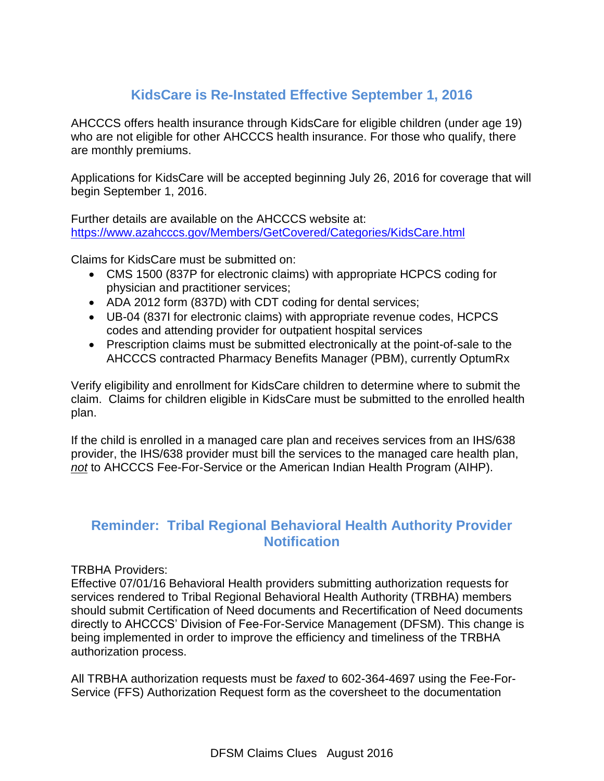# **KidsCare is Re-Instated Effective September 1, 2016**

AHCCCS offers health insurance through KidsCare for eligible children (under age 19) who are not eligible for other AHCCCS health insurance. For those who qualify, there are monthly premiums.

Applications for KidsCare will be accepted beginning July 26, 2016 for coverage that will begin September 1, 2016.

Further details are available on the AHCCCS website at: <https://www.azahcccs.gov/Members/GetCovered/Categories/KidsCare.html>

Claims for KidsCare must be submitted on:

- CMS 1500 (837P for electronic claims) with appropriate HCPCS coding for physician and practitioner services;
- ADA 2012 form (837D) with CDT coding for dental services;
- UB-04 (837I for electronic claims) with appropriate revenue codes, HCPCS codes and attending provider for outpatient hospital services
- Prescription claims must be submitted electronically at the point-of-sale to the AHCCCS contracted Pharmacy Benefits Manager (PBM), currently OptumRx

Verify eligibility and enrollment for KidsCare children to determine where to submit the claim. Claims for children eligible in KidsCare must be submitted to the enrolled health plan.

If the child is enrolled in a managed care plan and receives services from an IHS/638 provider, the IHS/638 provider must bill the services to the managed care health plan, *not* to AHCCCS Fee-For-Service or the American Indian Health Program (AIHP).

### **Reminder: Tribal Regional Behavioral Health Authority Provider Notification**

TRBHA Providers:

Effective 07/01/16 Behavioral Health providers submitting authorization requests for services rendered to Tribal Regional Behavioral Health Authority (TRBHA) members should submit Certification of Need documents and Recertification of Need documents directly to AHCCCS' Division of Fee-For-Service Management (DFSM). This change is being implemented in order to improve the efficiency and timeliness of the TRBHA authorization process.

All TRBHA authorization requests must be *faxed* to 602-364-4697 using the Fee-For-Service (FFS) Authorization Request form as the coversheet to the documentation